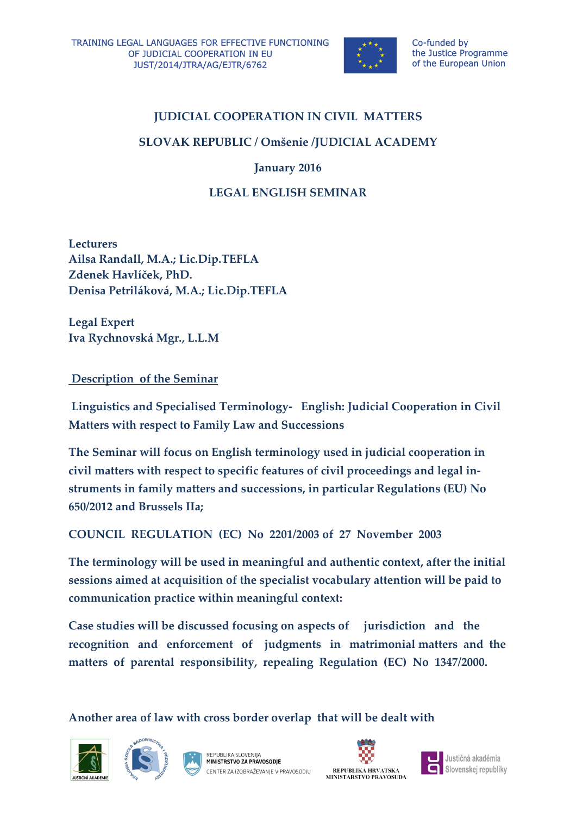

# **JUDICIAL COOPERATION IN CIVIL MATTERS**

#### **SLOVAK REPUBLIC / Omšenie /JUDICIAL ACADEMY**

**January 2016**

### **LEGAL ENGLISH SEMINAR**

**Lecturers Ailsa Randall, M.A.; Lic.Dip.TEFLA Zdenek Havlíček, PhD. Denisa Petriláková, M.A.; Lic.Dip.TEFLA**

**Legal Expert Iva Rychnovská Mgr., L.L.M**

#### **Description of the Seminar**

**Linguistics and Specialised Terminology- English: Judicial Cooperation in Civil Matters with respect to Family Law and Successions**

**The Seminar will focus on English terminology used in judicial cooperation in civil matters with respect to specific features of civil proceedings and legal instruments in family matters and successions, in particular Regulations (EU) No 650/2012 and Brussels IIa;**

**COUNCIL REGULATION (EC) No 2201/2003 of 27 November 2003**

**The terminology will be used in meaningful and authentic context, after the initial sessions aimed at acquisition of the specialist vocabulary attention will be paid to communication practice within meaningful context:**

**Case studies will be discussed focusing on aspects of jurisdiction and the recognition and enforcement of judgments in matrimonial matters and the matters of parental responsibility, repealing Regulation (EC) No 1347/2000.**

**Another area of law with cross border overlap that will be dealt with** 







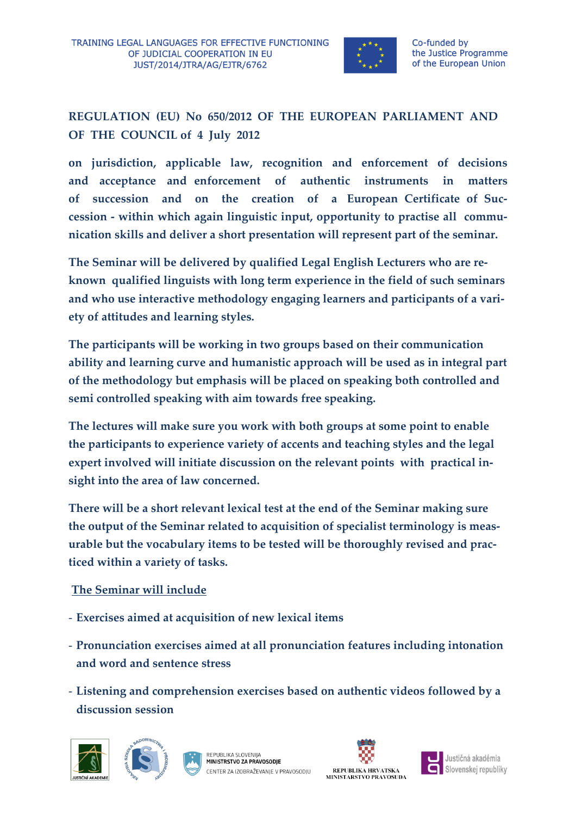

**REGULATION (EU) No 650/2012 OF THE EUROPEAN PARLIAMENT AND OF THE COUNCIL of 4 July 2012**

**on jurisdiction, applicable law, recognition and enforcement of decisions and acceptance and enforcement of authentic instruments in matters of succession and on the creation of a European Certificate of Succession - within which again linguistic input, opportunity to practise all communication skills and deliver a short presentation will represent part of the seminar.**

**The Seminar will be delivered by qualified Legal English Lecturers who are reknown qualified linguists with long term experience in the field of such seminars and who use interactive methodology engaging learners and participants of a variety of attitudes and learning styles.**

**The participants will be working in two groups based on their communication ability and learning curve and humanistic approach will be used as in integral part of the methodology but emphasis will be placed on speaking both controlled and semi controlled speaking with aim towards free speaking.**

**The lectures will make sure you work with both groups at some point to enable the participants to experience variety of accents and teaching styles and the legal expert involved will initiate discussion on the relevant points with practical insight into the area of law concerned.**

**There will be a short relevant lexical test at the end of the Seminar making sure the output of the Seminar related to acquisition of specialist terminology is measurable but the vocabulary items to be tested will be thoroughly revised and practiced within a variety of tasks.** 

## **The Seminar will include**

- **Exercises aimed at acquisition of new lexical items**
- **Pronunciation exercises aimed at all pronunciation features including intonation and word and sentence stress**
- **Listening and comprehension exercises based on authentic videos followed by a discussion session**









Justičná akadémia